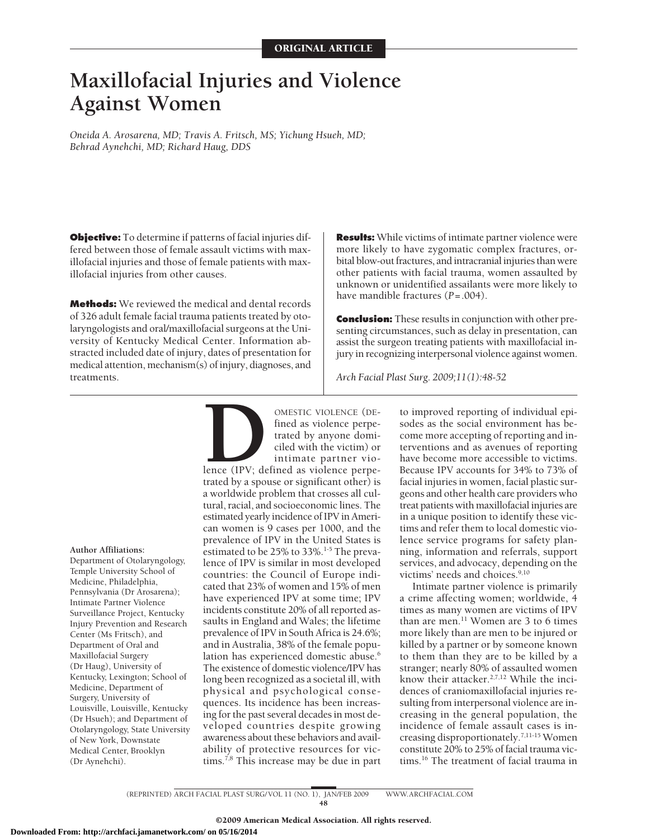# **Maxillofacial Injuries and Violence Against Women**

*Oneida A. Arosarena, MD; Travis A. Fritsch, MS; Yichung Hsueh, MD; Behrad Aynehchi, MD; Richard Haug, DDS*

**Objective:** To determine if patterns of facial injuries differed between those of female assault victims with maxillofacial injuries and those of female patients with maxillofacial injuries from other causes.

**Methods:** We reviewed the medical and dental records of 326 adult female facial trauma patients treated by otolaryngologists and oral/maxillofacial surgeons at the University of Kentucky Medical Center. Information abstracted included date of injury, dates of presentation for medical attention, mechanism(s) of injury, diagnoses, and treatments.

**Results:** While victims of intimate partner violence were more likely to have zygomatic complex fractures, orbital blow-out fractures, and intracranial injuries than were other patients with facial trauma, women assaulted by unknown or unidentified assailants were more likely to have mandible fractures (*P*=.004).

**Conclusion:** These results in conjunction with other presenting circumstances, such as delay in presentation, can assist the surgeon treating patients with maxillofacial injury in recognizing interpersonal violence against women.

*Arch Facial Plast Surg. 2009;11(1):48-52*

**Author Affiliations:**

Department of Otolaryngology, Temple University School of Medicine, Philadelphia, Pennsylvania (Dr Arosarena); Intimate Partner Violence Surveillance Project, Kentucky Injury Prevention and Research Center (Ms Fritsch), and Department of Oral and Maxillofacial Surgery (Dr Haug), University of Kentucky, Lexington; School of Medicine, Department of Surgery, University of Louisville, Louisville, Kentucky (Dr Hsueh); and Department of Otolaryngology, State University of New York, Downstate Medical Center, Brooklyn (Dr Aynehchi).

**DESTIC VIOLENCE (DE-**<br>fined as violence perpe-<br>trated by anyone domi-<br>ciled with the victim) or<br>intimate partner vio-<br>lence (IPV; defined as violence perpe-<br>trated by a spouse or significant other) is fined as violence perpetrated by anyone domiciled with the victim) or intimate partner vio-

lence (IPV; defined as violence perpetrated by a spouse or significant other) is a worldwide problem that crosses all cultural, racial, and socioeconomic lines. The estimated yearly incidence of IPV in American women is 9 cases per 1000, and the prevalence of IPV in the United States is estimated to be 25% to 33%.<sup>1-5</sup> The prevalence of IPV is similar in most developed countries: the Council of Europe indicated that 23% of women and 15% of men have experienced IPV at some time; IPV incidents constitute 20% of all reported assaults in England and Wales; the lifetime prevalence of IPV in South Africa is 24.6%; and in Australia, 38% of the female population has experienced domestic abuse.<sup>6</sup> The existence of domestic violence/IPV has long been recognized as a societal ill, with physical and psychological consequences. Its incidence has been increasing for the past several decades in most developed countries despite growing awareness about these behaviors and availability of protective resources for victims.<sup>7,8</sup> This increase may be due in part

to improved reporting of individual episodes as the social environment has become more accepting of reporting and interventions and as avenues of reporting have become more accessible to victims. Because IPV accounts for 34% to 73% of facial injuries in women, facial plastic surgeons and other health care providers who treat patients with maxillofacial injuries are in a unique position to identify these victims and refer them to local domestic violence service programs for safety planning, information and referrals, support services, and advocacy, depending on the victims' needs and choices.<sup>9,10</sup>

Intimate partner violence is primarily a crime affecting women; worldwide, 4 times as many women are victims of IPV than are men. $^{11}$  Women are 3 to 6 times more likely than are men to be injured or killed by a partner or by someone known to them than they are to be killed by a stranger; nearly 80% of assaulted women know their attacker.2,7,12 While the incidences of craniomaxillofacial injuries resulting from interpersonal violence are increasing in the general population, the incidence of female assault cases is increasing disproportionately.7,11-15 Women constitute 20% to 25% of facial trauma victims.16 The treatment of facial trauma in

(REPRINTED) ARCH FACIAL PLAST SURG/ VOL 11 (NO. 1), JAN/FEB 2009 WWW.ARCHFACIAL.COM 48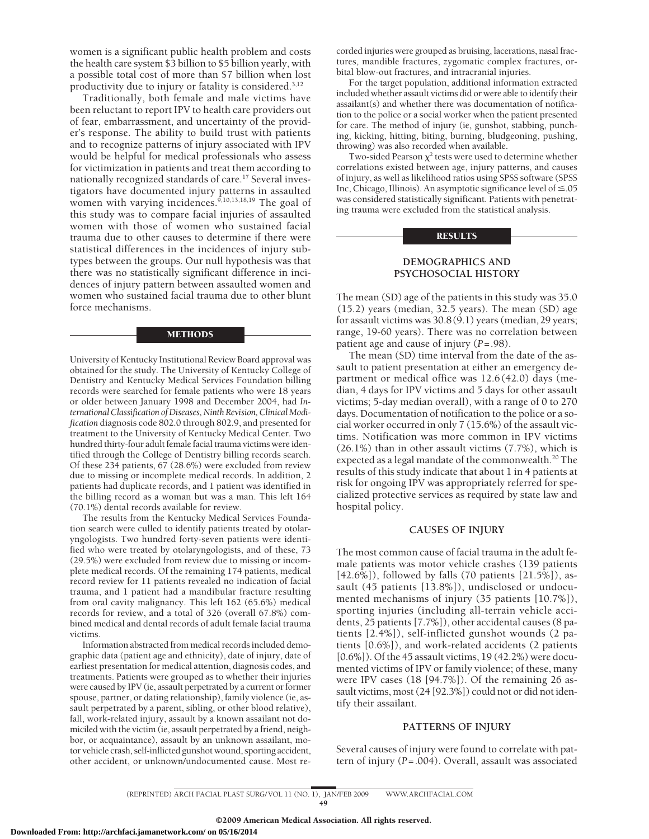women is a significant public health problem and costs the health care system \$3 billion to \$5 billion yearly, with a possible total cost of more than \$7 billion when lost productivity due to injury or fatality is considered.3,12

Traditionally, both female and male victims have been reluctant to report IPV to health care providers out of fear, embarrassment, and uncertainty of the provider's response. The ability to build trust with patients and to recognize patterns of injury associated with IPV would be helpful for medical professionals who assess for victimization in patients and treat them according to nationally recognized standards of care.<sup>17</sup> Several investigators have documented injury patterns in assaulted women with varying incidences.<sup>9,10,13,18,19</sup> The goal of this study was to compare facial injuries of assaulted women with those of women who sustained facial trauma due to other causes to determine if there were statistical differences in the incidences of injury subtypes between the groups. Our null hypothesis was that there was no statistically significant difference in incidences of injury pattern between assaulted women and women who sustained facial trauma due to other blunt force mechanisms.

#### METHODS

University of Kentucky Institutional Review Board approval was obtained for the study. The University of Kentucky College of Dentistry and Kentucky Medical Services Foundation billing records were searched for female patients who were 18 years or older between January 1998 and December 2004, had *International Classification of Diseases, Ninth Revision, Clinical Modification* diagnosis code 802.0 through 802.9, and presented for treatment to the University of Kentucky Medical Center. Two hundred thirty-four adult female facial trauma victims were identified through the College of Dentistry billing records search. Of these 234 patients, 67 (28.6%) were excluded from review due to missing or incomplete medical records. In addition, 2 patients had duplicate records, and 1 patient was identified in the billing record as a woman but was a man. This left 164 (70.1%) dental records available for review.

The results from the Kentucky Medical Services Foundation search were culled to identify patients treated by otolaryngologists. Two hundred forty-seven patients were identified who were treated by otolaryngologists, and of these, 73 (29.5%) were excluded from review due to missing or incomplete medical records. Of the remaining 174 patients, medical record review for 11 patients revealed no indication of facial trauma, and 1 patient had a mandibular fracture resulting from oral cavity malignancy. This left 162 (65.6%) medical records for review, and a total of 326 (overall 67.8%) combined medical and dental records of adult female facial trauma victims.

Information abstracted from medical records included demographic data (patient age and ethnicity), date of injury, date of earliest presentation for medical attention, diagnosis codes, and treatments. Patients were grouped as to whether their injuries were caused by IPV (ie, assault perpetrated by a current or former spouse, partner, or dating relationship), family violence (ie, assault perpetrated by a parent, sibling, or other blood relative), fall, work-related injury, assault by a known assailant not domiciled with the victim (ie, assault perpetrated by a friend, neighbor, or acquaintance), assault by an unknown assailant, motor vehicle crash, self-inflicted gunshot wound, sporting accident, other accident, or unknown/undocumented cause. Most recorded injuries were grouped as bruising, lacerations, nasal fractures, mandible fractures, zygomatic complex fractures, orbital blow-out fractures, and intracranial injuries.

For the target population, additional information extracted included whether assault victims did or were able to identify their assailant(s) and whether there was documentation of notification to the police or a social worker when the patient presented for care. The method of injury (ie, gunshot, stabbing, punching, kicking, hitting, biting, burning, bludgeoning, pushing, throwing) was also recorded when available.

Two-sided Pearson  $\chi^2$  tests were used to determine whether correlations existed between age, injury patterns, and causes of injury, as well as likelihood ratios using SPSS software (SPSS Inc, Chicago, Illinois). An asymptotic significance level of  $\leq$  05 was considered statistically significant. Patients with penetrating trauma were excluded from the statistical analysis.

#### RESULTS

# **DEMOGRAPHICS AND PSYCHOSOCIAL HISTORY**

The mean (SD) age of the patients in this study was 35.0 (15.2) years (median, 32.5 years). The mean (SD) age for assault victims was 30.8(9.1) years (median,29 years; range, 19-60 years). There was no correlation between patient age and cause of injury (*P*=.98).

The mean (SD) time interval from the date of the assault to patient presentation at either an emergency department or medical office was 12.6 (42.0) days (median, 4 days for IPV victims and 5 days for other assault victims; 5-day median overall), with a range of 0 to 270 days. Documentation of notification to the police or a social worker occurred in only 7 (15.6%) of the assault victims. Notification was more common in IPV victims (26.1%) than in other assault victims (7.7%), which is expected as a legal mandate of the commonwealth.<sup>20</sup> The results of this study indicate that about 1 in 4 patients at risk for ongoing IPV was appropriately referred for specialized protective services as required by state law and hospital policy.

### **CAUSES OF INJURY**

The most common cause of facial trauma in the adult female patients was motor vehicle crashes (139 patients [42.6%]), followed by falls (70 patients [21.5%]), assault (45 patients [13.8%]), undisclosed or undocumented mechanisms of injury (35 patients [10.7%]), sporting injuries (including all-terrain vehicle accidents, 25 patients [7.7%]), other accidental causes (8 patients [2.4%]), self-inflicted gunshot wounds (2 patients [0.6%]), and work-related accidents (2 patients [0.6%]). Of the 45 assault victims, 19 (42.2%) were documented victims of IPV or family violence; of these, many were IPV cases (18 [94.7%]). Of the remaining 26 assault victims, most (24 [92.3%]) could not or did not identify their assailant.

#### **PATTERNS OF INJURY**

Several causes of injury were found to correlate with pattern of injury (*P*=.004). Overall, assault was associated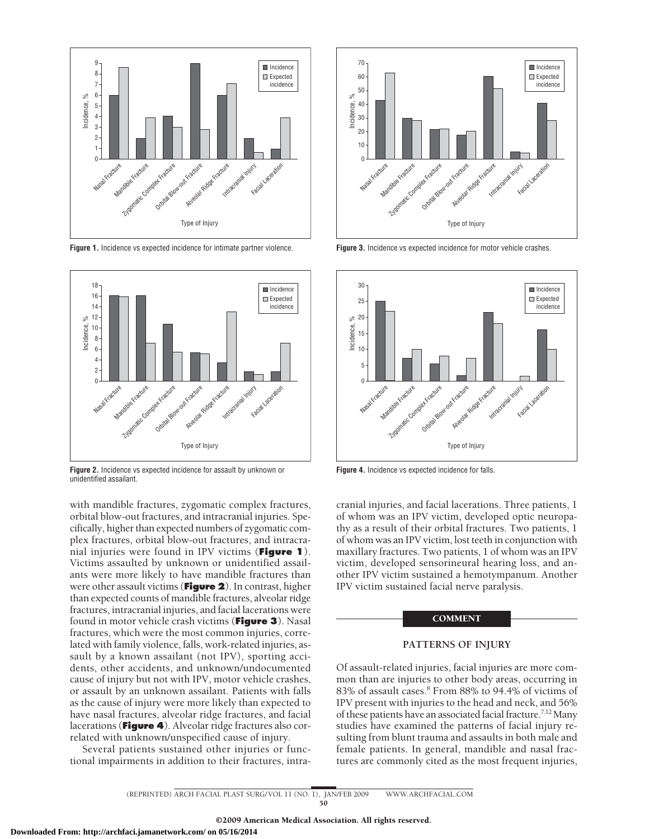

**Figure 1.** Incidence vs expected incidence for intimate partner violence.



**Figure 2.** Incidence vs expected incidence for assault by unknown or unidentified assailant.

with mandible fractures, zygomatic complex fractures, orbital blow-out fractures, and intracranial injuries. Specifically, higher than expected numbers of zygomatic complex fractures, orbital blow-out fractures, and intracranial injuries were found in IPV victims (**Figure 1**). Victims assaulted by unknown or unidentified assailants were more likely to have mandible fractures than were other assault victims (**Figure 2**). In contrast, higher than expected counts of mandible fractures, alveolar ridge fractures, intracranial injuries, and facial lacerations were found in motor vehicle crash victims (**Figure 3**). Nasal fractures, which were the most common injuries, correlated with family violence, falls, work-related injuries, assault by a known assailant (not IPV), sporting accidents, other accidents, and unknown/undocumented cause of injury but not with IPV, motor vehicle crashes, or assault by an unknown assailant. Patients with falls as the cause of injury were more likely than expected to have nasal fractures, alveolar ridge fractures, and facial lacerations (**Figure 4**). Alveolar ridge fractures also correlated with unknown/unspecified cause of injury.

Several patients sustained other injuries or functional impairments in addition to their fractures, intra-



**Figure 3.** Incidence vs expected incidence for motor vehicle crashes.



**Figure 4.** Incidence vs expected incidence for falls.

cranial injuries, and facial lacerations. Three patients, 1 of whom was an IPV victim, developed optic neuropathy as a result of their orbital fractures. Two patients, 1 of whom was an IPV victim, lost teeth in conjunction with maxillary fractures. Two patients, 1 of whom was an IPV victim, developed sensorineural hearing loss, and another IPV victim sustained a hemotympanum. Another IPV victim sustained facial nerve paralysis.

#### **COMMENT**

## **PATTERNS OF INJURY**

Of assault-related injuries, facial injuries are more common than are injuries to other body areas, occurring in 83% of assault cases.8 From 88% to 94.4% of victims of IPV present with injuries to the head and neck, and 56% of these patients have an associated facial fracture.<sup>7,12</sup> Many studies have examined the patterns of facial injury resulting from blunt trauma and assaults in both male and female patients. In general, mandible and nasal fractures are commonly cited as the most frequent injuries,

(REPRINTED) ARCH FACIAL PLAST SURG/ VOL 11 (NO. 1), JAN/FEB 2009 WWW.ARCHFACIAL.COM 50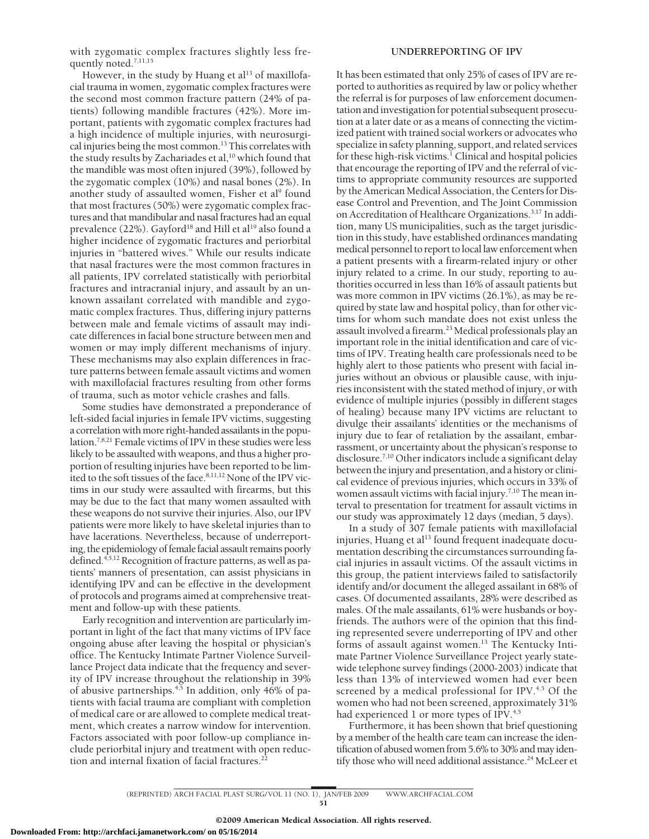with zygomatic complex fractures slightly less frequently noted.<sup>7,11,15</sup>

However, in the study by Huang et al<sup>13</sup> of maxillofacial trauma in women, zygomatic complex fractures were the second most common fracture pattern (24% of patients) following mandible fractures (42%). More important, patients with zygomatic complex fractures had a high incidence of multiple injuries, with neurosurgical injuries being the most common.<sup>13</sup> This correlates with the study results by Zachariades et al, $^{10}$  which found that the mandible was most often injured (39%), followed by the zygomatic complex (10%) and nasal bones (2%). In another study of assaulted women, Fisher et al<sup>9</sup> found that most fractures (50%) were zygomatic complex fractures and that mandibular and nasal fractures had an equal prevalence (22%). Gayford<sup>18</sup> and Hill et al<sup>19</sup> also found a higher incidence of zygomatic fractures and periorbital injuries in "battered wives." While our results indicate that nasal fractures were the most common fractures in all patients, IPV correlated statistically with periorbital fractures and intracranial injury, and assault by an unknown assailant correlated with mandible and zygomatic complex fractures. Thus, differing injury patterns between male and female victims of assault may indicate differences in facial bone structure between men and women or may imply different mechanisms of injury. These mechanisms may also explain differences in fracture patterns between female assault victims and women with maxillofacial fractures resulting from other forms of trauma, such as motor vehicle crashes and falls.

Some studies have demonstrated a preponderance of left-sided facial injuries in female IPV victims, suggesting a correlation with more right-handed assailants in the population.7,8,21 Female victims of IPV in these studies were less likely to be assaulted with weapons, and thus a higher proportion of resulting injuries have been reported to be limited to the soft tissues of the face.<sup>8,11,12</sup> None of the IPV victims in our study were assaulted with firearms, but this may be due to the fact that many women assaulted with these weapons do not survive their injuries. Also, our IPV patients were more likely to have skeletal injuries than to have lacerations. Nevertheless, because of underreporting, the epidemiology of female facial assault remains poorly defined.<sup>4,5,12</sup> Recognition of fracture patterns, as well as patients' manners of presentation, can assist physicians in identifying IPV and can be effective in the development of protocols and programs aimed at comprehensive treatment and follow-up with these patients.

Early recognition and intervention are particularly important in light of the fact that many victims of IPV face ongoing abuse after leaving the hospital or physician's office. The Kentucky Intimate Partner Violence Surveillance Project data indicate that the frequency and severity of IPV increase throughout the relationship in 39% of abusive partnerships.<sup>4,5</sup> In addition, only 46% of patients with facial trauma are compliant with completion of medical care or are allowed to complete medical treatment, which creates a narrow window for intervention. Factors associated with poor follow-up compliance include periorbital injury and treatment with open reduction and internal fixation of facial fractures.<sup>2</sup>

# **UNDERREPORTING OF IPV**

It has been estimated that only 25% of cases of IPV are reported to authorities as required by law or policy whether the referral is for purposes of law enforcement documentation and investigation for potential subsequent prosecution at a later date or as a means of connecting the victimized patient with trained social workers or advocates who specialize in safety planning, support, and related services for these high-risk victims.<sup>1</sup> Clinical and hospital policies that encourage the reporting of IPV and the referral of victims to appropriate community resources are supported by the American Medical Association, the Centers for Disease Control and Prevention, and The Joint Commission on Accreditation of Healthcare Organizations.3,17 In addition, many US municipalities, such as the target jurisdiction in this study, have established ordinances mandating medical personnel to report tolocallaw enforcement when a patient presents with a firearm-related injury or other injury related to a crime. In our study, reporting to authorities occurred in less than 16% of assault patients but was more common in IPV victims (26.1%), as may be required by state law and hospital policy, than for other victims for whom such mandate does not exist unless the assault involved a firearm.<sup>23</sup> Medical professionals play an important role in the initial identification and care of victims of IPV. Treating health care professionals need to be highly alert to those patients who present with facial injuries without an obvious or plausible cause, with injuries inconsistent with the stated method of injury, or with evidence of multiple injuries (possibly in different stages of healing) because many IPV victims are reluctant to divulge their assailants' identities or the mechanisms of injury due to fear of retaliation by the assailant, embarrassment, or uncertainty about the physican's response to disclosure.7,10 Other indicators include a significant delay between the injury and presentation, and a history or clinical evidence of previous injuries, which occurs in 33% of women assault victims with facial injury.<sup>7,10</sup> The mean interval to presentation for treatment for assault victims in our study was approximately 12 days (median, 5 days).

In a study of 307 female patients with maxillofacial injuries, Huang et al<sup>13</sup> found frequent inadequate documentation describing the circumstances surrounding facial injuries in assault victims. Of the assault victims in this group, the patient interviews failed to satisfactorily identify and/or document the alleged assailant in 68% of cases. Of documented assailants, 28% were described as males. Of the male assailants, 61% were husbands or boyfriends. The authors were of the opinion that this finding represented severe underreporting of IPV and other forms of assault against women.<sup>13</sup> The Kentucky Intimate Partner Violence Surveillance Project yearly statewide telephone survey findings (2000-2003) indicate that less than 13% of interviewed women had ever been screened by a medical professional for IPV.<sup>4,5</sup> Of the women who had not been screened, approximately 31% had experienced 1 or more types of IPV.<sup>4,5</sup>

Furthermore, it has been shown that brief questioning by a member of the health care team can increase the identification of abused women from 5.6% to 30% and may identify those who will need additional assistance.<sup>24</sup> McLeer et

(REPRINTED) ARCH FACIAL PLAST SURG/ VOL 11 (NO. 1), JAN/FEB 2009 WWW.ARCHFACIAL.COM 51